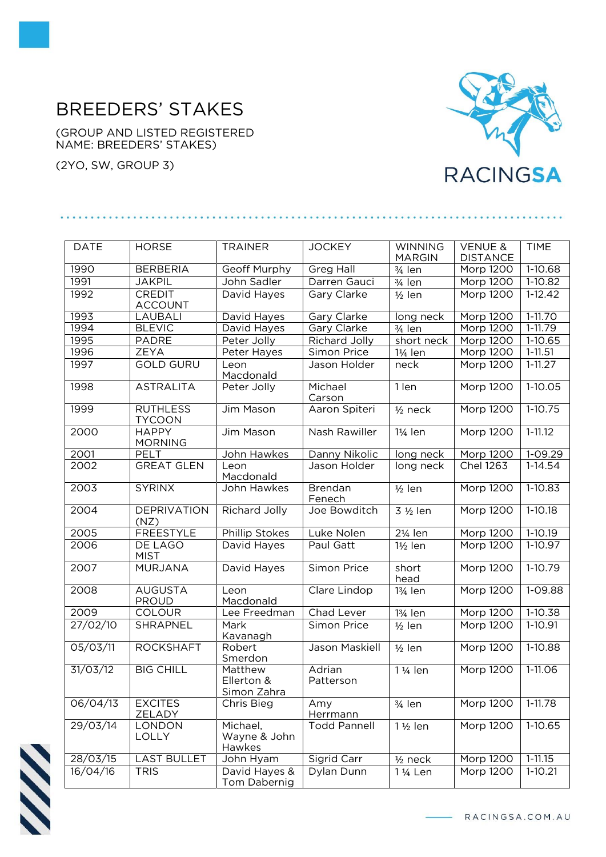## BREEDERS' STAKES

(GROUP AND LISTED REGISTERED NAME: BREEDERS' STAKES)

(2YO, SW, GROUP 3)



| <b>DATE</b> | <b>HORSE</b>                     | <b>TRAINER</b>                       | <b>JOCKEY</b>            | <b>WINNING</b><br><b>MARGIN</b> | <b>VENUE &amp;</b><br><b>DISTANCE</b> | <b>TIME</b> |
|-------------|----------------------------------|--------------------------------------|--------------------------|---------------------------------|---------------------------------------|-------------|
| 1990        | <b>BERBERIA</b>                  | Geoff Murphy                         | Greg Hall                | $3/4$ len                       | Morp 1200                             | $1-10.68$   |
| 1991        | <b>JAKPIL</b>                    | John Sadler                          | Darren Gauci             | $\frac{3}{4}$ len               | Morp 1200                             | $1-10.82$   |
| 1992        | <b>CREDIT</b><br><b>ACCOUNT</b>  | David Hayes                          | Gary Clarke              | $1/2$ len                       | Morp 1200                             | $1 - 12.42$ |
| 1993        | LAUBALI                          | David Hayes                          | Gary Clarke              | long neck                       | Morp 1200                             | $1 - 11.70$ |
| 1994        | <b>BLEVIC</b>                    | David Hayes                          | Gary Clarke              | $\frac{3}{4}$ len               | Morp 1200                             | $1 - 11.79$ |
| 1995        | <b>PADRE</b>                     | Peter Jolly                          | Richard Jolly            | short neck                      | Morp 1200                             | 1-10.65     |
| 1996        | <b>ZEYA</b>                      | Peter Hayes                          | Simon Price              | 1¼ len                          | Morp 1200                             | $1 - 11.51$ |
| 1997        | <b>GOLD GURU</b>                 | Leon<br>Macdonald                    | Jason Holder             | neck                            | Morp 1200                             | $1 - 11.27$ |
| 1998        | <b>ASTRALITA</b>                 | Peter Jolly                          | Michael<br>Carson        | 1 len                           | <b>Morp 1200</b>                      | $1-10.05$   |
| 1999        | <b>RUTHLESS</b><br><b>TYCOON</b> | Jim Mason                            | Aaron Spiteri            | $1/2$ neck                      | <b>Morp 1200</b>                      | $1-10.75$   |
| 2000        | <b>HAPPY</b><br><b>MORNING</b>   | Jim Mason                            | Nash Rawiller            | $1\frac{1}{4}$ len              | Morp 1200                             | $1 - 11.12$ |
| 2001        | PELT                             | John Hawkes                          | Danny Nikolic            | long neck                       | <b>Morp 1200</b>                      | $1 - 09.29$ |
| 2002        | <b>GREAT GLEN</b>                | Leon<br>Macdonald                    | Jason Holder             | long neck                       | <b>Chel 1263</b>                      | $1-14.54$   |
| 2003        | <b>SYRINX</b>                    | John Hawkes                          | <b>Brendan</b><br>Fenech | $\frac{1}{2}$ len               | Morp 1200                             | $1 - 10.83$ |
| 2004        | <b>DEPRIVATION</b><br>(NZ)       | <b>Richard Jolly</b>                 | Joe Bowditch             | 3 1/2 len                       | Morp 1200                             | $1-10.18$   |
| 2005        | <b>FREESTYLE</b>                 | <b>Phillip Stokes</b>                | Luke Nolen               | 21/ <sub>4</sub> len            | Morp 1200                             | $1-10.19$   |
| 2006        | DE LAGO<br><b>MIST</b>           | David Hayes                          | Paul Gatt                | 1½ len                          | Morp 1200                             | 1-10.97     |
| 2007        | <b>MURJANA</b>                   | David Hayes                          | Simon Price              | short<br>head                   | <b>Morp 1200</b>                      | $1-10.79$   |
| 2008        | <b>AUGUSTA</b><br><b>PROUD</b>   | Leon<br>Macdonald                    | Clare Lindop             | 13/ <sub>4</sub> len            | Morp 1200                             | 1-09.88     |
| 2009        | COLOUR                           | Lee Freedman                         | Chad Lever               | 13/ <sub>4</sub> len            | <b>Morp 1200</b>                      | $1-10.38$   |
| 27/02/10    | SHRAPNEL                         | Mark<br><b>Kavanagh</b>              | Simon Price              | $1/2$ len                       | Morp 1200                             | 1-10.91     |
| 05/03/11    | <b>ROCKSHAFT</b>                 | Robert<br>Smerdon                    | Jason Maskiell           | $1/2$ len                       | Morp 1200                             | $1-10.88$   |
| 31/03/12    | <b>BIG CHILL</b>                 | Matthew<br>Ellerton &<br>Simon Zahra | Adrian<br>Patterson      | 1 1/ <sub>4</sub> len           | Morp 1200                             | 1-11.06     |
| 06/04/13    | <b>EXCITES</b><br>ZELADY         | Chris Bieg                           | Amy<br>Herrmann          | $\frac{3}{4}$ len               | Morp 1200                             | $1-11.78$   |
| 29/03/14    | <b>LONDON</b><br>LOLLY           | Michael,<br>Wayne & John<br>Hawkes   | <b>Todd Pannell</b>      | $1\frac{1}{2}$ len              | Morp 1200                             | 1-10.65     |
| 28/03/15    | <b>LAST BULLET</b>               | John Hyam                            | Sigrid Carr              | $1/2$ neck                      | Morp 1200                             | $1 - 11.15$ |
| 16/04/16    | <b>TRIS</b>                      | David Hayes &<br>Tom Dabernig        | Dylan Dunn               | 1 1/ <sub>4</sub> Len           | Morp 1200                             | $1-10.21$   |



- RACINGSA.COM.AU